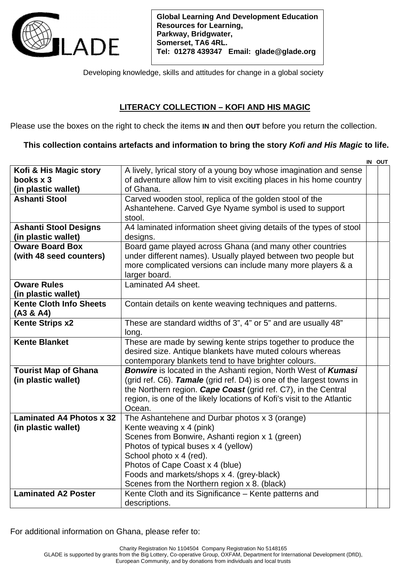

Developing knowledge, skills and attitudes for change in a global society

## **LITERACY COLLECTION – KOFI AND HIS MAGIC**

Please use the boxes on the right to check the items **IN** and then **OUT** before you return the collection.

## **This collection contains artefacts and information to bring the story** *Kofi and His Magic* **to life.**

|                                 |                                                                        | IN OUT |
|---------------------------------|------------------------------------------------------------------------|--------|
| Kofi & His Magic story          | A lively, lyrical story of a young boy whose imagination and sense     |        |
| books x 3                       | of adventure allow him to visit exciting places in his home country    |        |
| (in plastic wallet)             | of Ghana.                                                              |        |
| <b>Ashanti Stool</b>            | Carved wooden stool, replica of the golden stool of the                |        |
|                                 | Ashantehene. Carved Gye Nyame symbol is used to support                |        |
|                                 | stool.                                                                 |        |
| <b>Ashanti Stool Designs</b>    | A4 laminated information sheet giving details of the types of stool    |        |
| (in plastic wallet)             | designs.                                                               |        |
| <b>Oware Board Box</b>          | Board game played across Ghana (and many other countries               |        |
| (with 48 seed counters)         | under different names). Usually played between two people but          |        |
|                                 | more complicated versions can include many more players & a            |        |
|                                 | larger board.                                                          |        |
| <b>Oware Rules</b>              | Laminated A4 sheet.                                                    |        |
| (in plastic wallet)             |                                                                        |        |
| <b>Kente Cloth Info Sheets</b>  | Contain details on kente weaving techniques and patterns.              |        |
| (A3 & A4)                       |                                                                        |        |
| <b>Kente Strips x2</b>          | These are standard widths of 3", 4" or 5" and are usually 48"          |        |
|                                 | long.                                                                  |        |
| <b>Kente Blanket</b>            | These are made by sewing kente strips together to produce the          |        |
|                                 | desired size. Antique blankets have muted colours whereas              |        |
|                                 | contemporary blankets tend to have brighter colours.                   |        |
| <b>Tourist Map of Ghana</b>     | <b>Bonwire</b> is located in the Ashanti region, North West of Kumasi  |        |
| (in plastic wallet)             | (grid ref. C6). Tamale (grid ref. D4) is one of the largest towns in   |        |
|                                 | the Northern region. Cape Coast (grid ref. C7), in the Central         |        |
|                                 | region, is one of the likely locations of Kofi's visit to the Atlantic |        |
|                                 | Ocean.                                                                 |        |
| <b>Laminated A4 Photos x 32</b> | The Ashantehene and Durbar photos x 3 (orange)                         |        |
| (in plastic wallet)             | Kente weaving x 4 (pink)                                               |        |
|                                 | Scenes from Bonwire, Ashanti region x 1 (green)                        |        |
|                                 | Photos of typical buses x 4 (yellow)                                   |        |
|                                 | School photo x 4 (red).                                                |        |
|                                 | Photos of Cape Coast x 4 (blue)                                        |        |
|                                 | Foods and markets/shops x 4. (grey-black)                              |        |
|                                 | Scenes from the Northern region x 8. (black)                           |        |
| <b>Laminated A2 Poster</b>      | Kente Cloth and its Significance - Kente patterns and                  |        |
|                                 | descriptions.                                                          |        |

For additional information on Ghana, please refer to: